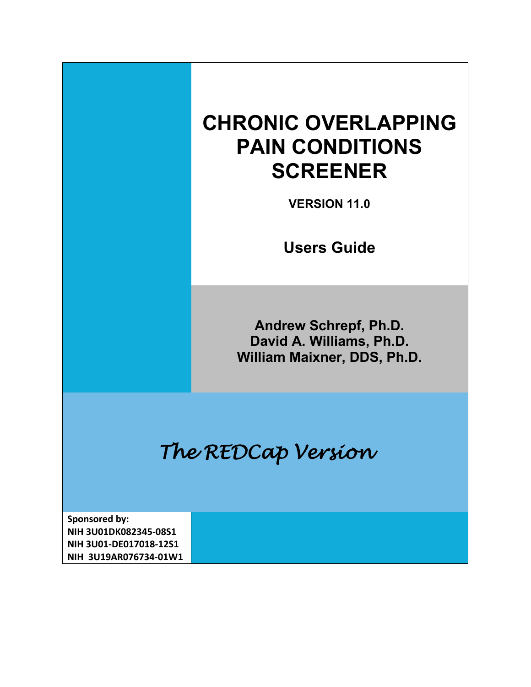# **CHRONIC OVERLAPPING PAIN CONDITIONS SCREENER**

**VERSION 11.0**

**Users Guide**

**Andrew Schrepf, Ph.D. David A. Williams, Ph.D. William Maixner, DDS, Ph.D.**

*The REDCap Version* 

**Sponsored by: NIH 3U01DK082345-08S1 NIH 3U01-DE017018-12S1 NIH 3U19AR076734-01W1**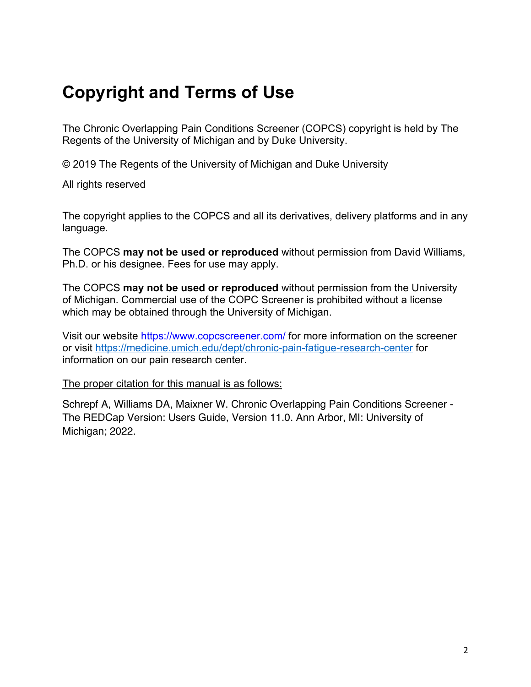# **Copyright and Terms of Use**

The Chronic Overlapping Pain Conditions Screener (COPCS) copyright is held by The Regents of the University of Michigan and by Duke University.

© 2019 The Regents of the University of Michigan and Duke University

All rights reserved

The copyright applies to the COPCS and all its derivatives, delivery platforms and in any language.

The COPCS **may not be used or reproduced** without permission from David Williams, Ph.D. or his designee. Fees for use may apply.

The COPCS **may not be used or reproduced** without permission from the University of Michigan. Commercial use of the COPC Screener is prohibited without a license which may be obtained through the University of Michigan.

Visit our website https://www.copcscreener.com/ for more information on the screener or visit<https://medicine.umich.edu/dept/chronic-pain-fatigue-research-center> for information on our pain research center.

The proper citation for this manual is as follows:

Schrepf A, Williams DA, Maixner W. Chronic Overlapping Pain Conditions Screener - The REDCap Version: Users Guide, Version 11.0. Ann Arbor, MI: University of Michigan; 2022.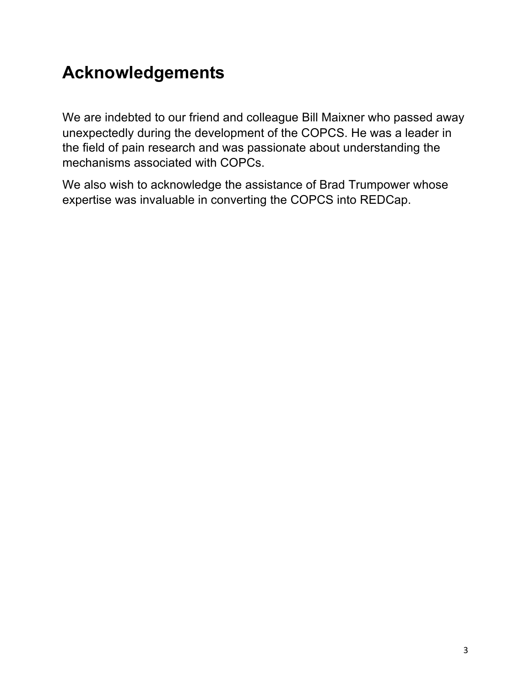# **Acknowledgements**

We are indebted to our friend and colleague Bill Maixner who passed away unexpectedly during the development of the COPCS. He was a leader in the field of pain research and was passionate about understanding the mechanisms associated with COPCs.

We also wish to acknowledge the assistance of Brad Trumpower whose expertise was invaluable in converting the COPCS into REDCap.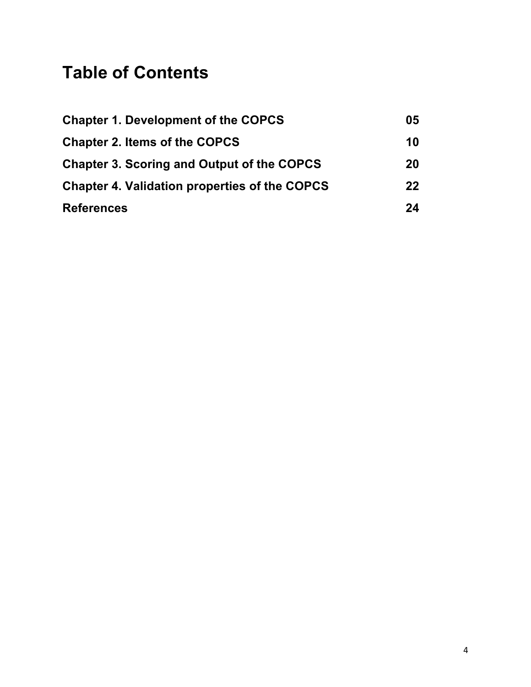# **Table of Contents**

| <b>Chapter 1. Development of the COPCS</b>           | 05      |
|------------------------------------------------------|---------|
| <b>Chapter 2. Items of the COPCS</b>                 | 10      |
| <b>Chapter 3. Scoring and Output of the COPCS</b>    | 20      |
| <b>Chapter 4. Validation properties of the COPCS</b> | $22 \,$ |
| <b>References</b>                                    | 24      |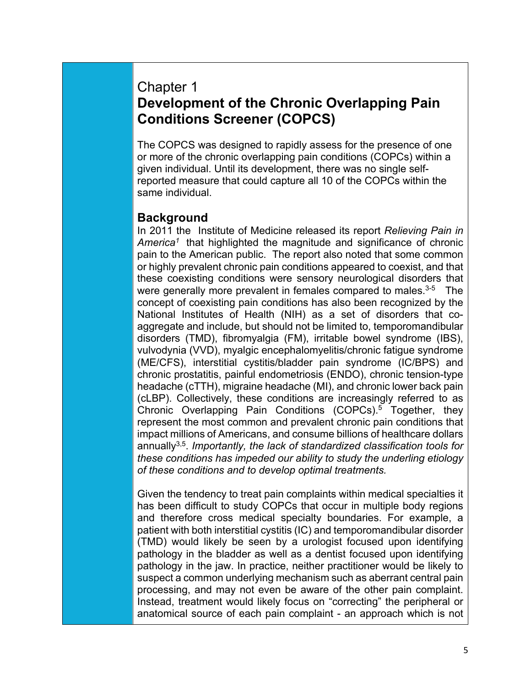## Chapter 1 **Development of the Chronic Overlapping Pain Conditions Screener (COPCS)**

The COPCS was designed to rapidly assess for the presence of one or more of the chronic overlapping pain conditions (COPCs) within a given individual. Until its development, there was no single selfreported measure that could capture all 10 of the COPCs within the same individual.

### **Background**

In 2011 the Institute of Medicine released its report *Relieving Pain in America1* that highlighted the magnitude and significance of chronic pain to the American public. The report also noted that some common or highly prevalent chronic pain conditions appeared to coexist, and that these coexisting conditions were sensory neurological disorders that were generally more prevalent in females compared to males.<sup>3-5</sup> The concept of coexisting pain conditions has also been recognized by the National Institutes of Health (NIH) as a set of disorders that coaggregate and include, but should not be limited to, temporomandibular disorders (TMD), fibromyalgia (FM), irritable bowel syndrome (IBS), vulvodynia (VVD), myalgic encephalomyelitis/chronic fatigue syndrome (ME/CFS), interstitial cystitis/bladder pain syndrome (IC/BPS) and chronic prostatitis, painful endometriosis (ENDO), chronic tension-type headache (cTTH), migraine headache (MI), and chronic lower back pain (cLBP). Collectively, these conditions are increasingly referred to as Chronic Overlapping Pain Conditions (COPCs).<sup>5</sup> Together, they represent the most common and prevalent chronic pain conditions that impact millions of Americans, and consume billions of healthcare dollars annually3,5. *Importantly, the lack of standardized classification tools for these conditions has impeded our ability to study the underling etiology of these conditions and to develop optimal treatments.* 

Given the tendency to treat pain complaints within medical specialties it has been difficult to study COPCs that occur in multiple body regions and therefore cross medical specialty boundaries. For example, a patient with both interstitial cystitis (IC) and temporomandibular disorder (TMD) would likely be seen by a urologist focused upon identifying pathology in the bladder as well as a dentist focused upon identifying pathology in the jaw. In practice, neither practitioner would be likely to suspect a common underlying mechanism such as aberrant central pain processing, and may not even be aware of the other pain complaint. Instead, treatment would likely focus on "correcting" the peripheral or anatomical source of each pain complaint - an approach which is not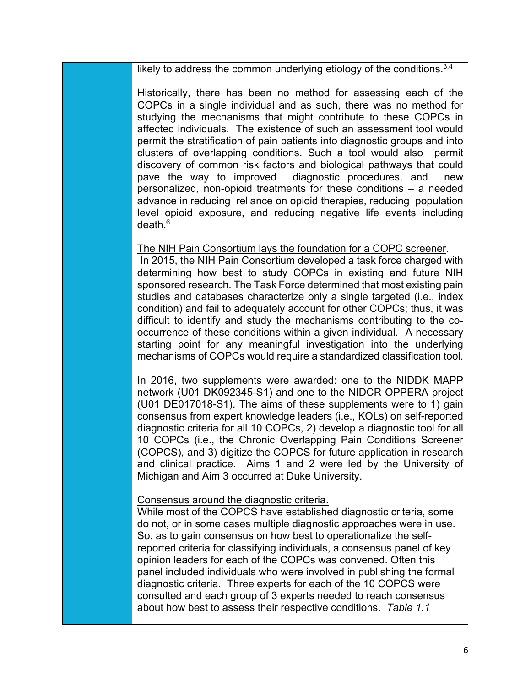likely to address the common underlying etiology of the conditions.<sup>3,4</sup>

Historically, there has been no method for assessing each of the COPCs in a single individual and as such, there was no method for studying the mechanisms that might contribute to these COPCs in affected individuals. The existence of such an assessment tool would permit the stratification of pain patients into diagnostic groups and into clusters of overlapping conditions. Such a tool would also permit discovery of common risk factors and biological pathways that could pave the way to improved diagnostic procedures, and new personalized, non-opioid treatments for these conditions – a needed advance in reducing reliance on opioid therapies, reducing population level opioid exposure, and reducing negative life events including  $death<sup>6</sup>$ 

#### The NIH Pain Consortium lays the foundation for a COPC screener.

In 2015, the NIH Pain Consortium developed a task force charged with determining how best to study COPCs in existing and future NIH sponsored research. The Task Force determined that most existing pain studies and databases characterize only a single targeted (i.e., index condition) and fail to adequately account for other COPCs; thus, it was difficult to identify and study the mechanisms contributing to the cooccurrence of these conditions within a given individual. A necessary starting point for any meaningful investigation into the underlying mechanisms of COPCs would require a standardized classification tool.

In 2016, two supplements were awarded: one to the NIDDK MAPP network (U01 DK092345-S1) and one to the NIDCR OPPERA project (U01 DE017018-S1). The aims of these supplements were to 1) gain consensus from expert knowledge leaders (i.e., KOLs) on self-reported diagnostic criteria for all 10 COPCs, 2) develop a diagnostic tool for all 10 COPCs (i.e., the Chronic Overlapping Pain Conditions Screener (COPCS), and 3) digitize the COPCS for future application in research and clinical practice. Aims 1 and 2 were led by the University of Michigan and Aim 3 occurred at Duke University.

#### Consensus around the diagnostic criteria.

While most of the COPCS have established diagnostic criteria, some do not, or in some cases multiple diagnostic approaches were in use. So, as to gain consensus on how best to operationalize the selfreported criteria for classifying individuals, a consensus panel of key opinion leaders for each of the COPCs was convened. Often this panel included individuals who were involved in publishing the formal diagnostic criteria. Three experts for each of the 10 COPCS were consulted and each group of 3 experts needed to reach consensus about how best to assess their respective conditions. *Table 1.1*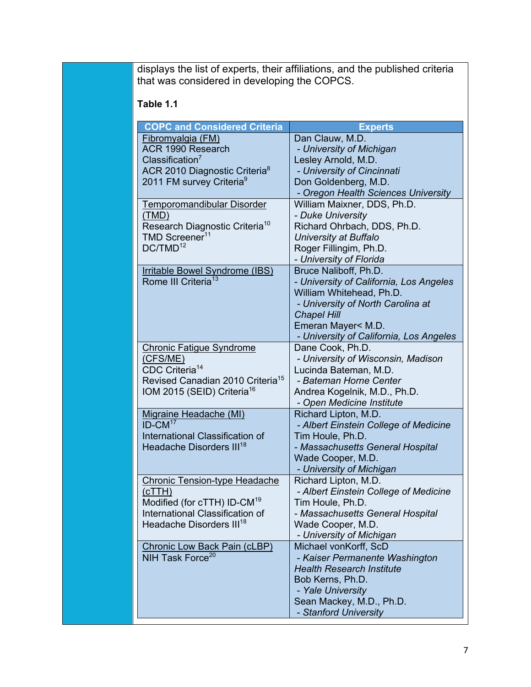displays the list of experts, their affiliations, and the published criteria that was considered in developing the COPCS.

### **Table 1.1**

| <b>COPC and Considered Criteria</b>                                        | <b>Experts</b>                                    |
|----------------------------------------------------------------------------|---------------------------------------------------|
| Fibromyalgia (FM)                                                          | Dan Clauw, M.D.                                   |
| ACR 1990 Research                                                          | - University of Michigan                          |
| Classification <sup>7</sup>                                                | Lesley Arnold, M.D.                               |
| ACR 2010 Diagnostic Criteria <sup>8</sup>                                  | - University of Cincinnati                        |
| 2011 FM survey Criteria <sup>9</sup>                                       | Don Goldenberg, M.D.                              |
|                                                                            | - Oregon Health Sciences University               |
| Temporomandibular Disorder                                                 | William Maixner, DDS, Ph.D.                       |
| (TMD)                                                                      | - Duke University                                 |
| Research Diagnostic Criteria <sup>10</sup>                                 | Richard Ohrbach, DDS, Ph.D.                       |
| TMD Screener <sup>11</sup>                                                 | University at Buffalo                             |
| DC/TMD <sup>12</sup>                                                       | Roger Fillingim, Ph.D.                            |
|                                                                            | - University of Florida                           |
| <b>Irritable Bowel Syndrome (IBS)</b>                                      | Bruce Naliboff, Ph.D.                             |
| Rome III Criteria <sup>13</sup>                                            | - University of California, Los Angeles           |
|                                                                            | William Whitehead, Ph.D.                          |
|                                                                            | - University of North Carolina at                 |
|                                                                            | <b>Chapel Hill</b>                                |
|                                                                            | Emeran Mayer< M.D.                                |
|                                                                            | - University of California, Los Angeles           |
| <b>Chronic Fatigue Syndrome</b>                                            | Dane Cook, Ph.D.                                  |
| (CFS/ME)                                                                   | - University of Wisconsin, Madison                |
| CDC Criteria <sup>14</sup>                                                 | Lucinda Bateman, M.D.                             |
| Revised Canadian 2010 Criteria <sup>15</sup>                               | - Bateman Horne Center                            |
| IOM 2015 (SEID) Criteria <sup>16</sup>                                     | Andrea Kogelnik, M.D., Ph.D.                      |
|                                                                            | - Open Medicine Institute                         |
| <b>Migraine Headache (MI)</b>                                              | Richard Lipton, M.D.                              |
| $ID-CM17$                                                                  | - Albert Einstein College of Medicine             |
| International Classification of                                            | Tim Houle, Ph.D.                                  |
| Headache Disorders III <sup>18</sup>                                       | - Massachusetts General Hospital                  |
|                                                                            | Wade Cooper, M.D.                                 |
|                                                                            | - University of Michigan                          |
| <b>Chronic Tension-type Headache</b>                                       | Richard Lipton, M.D.                              |
| (cTTH)                                                                     | - Albert Einstein College of Medicine             |
| Modified (for cTTH) ID-CM <sup>19</sup><br>International Classification of | Tim Houle, Ph.D.                                  |
| Headache Disorders III <sup>18</sup>                                       | - Massachusetts General Hospital                  |
|                                                                            | Wade Cooper, M.D.                                 |
|                                                                            | - University of Michigan<br>Michael vonKorff, ScD |
| <b>Chronic Low Back Pain (cLBP)</b><br>NIH Task Force <sup>20</sup>        | - Kaiser Permanente Washington                    |
|                                                                            | <b>Health Research Institute</b>                  |
|                                                                            | Bob Kerns, Ph.D.                                  |
|                                                                            |                                                   |
|                                                                            | - Yale University<br>Sean Mackey, M.D., Ph.D.     |
|                                                                            | - Stanford University                             |
|                                                                            |                                                   |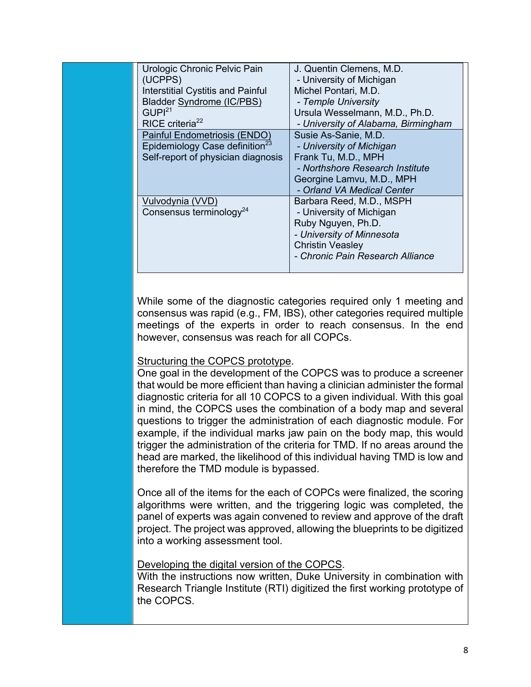| Urologic Chronic Pelvic Pain<br>(UCPPS)<br><b>Interstitial Cystitis and Painful</b><br><b>Bladder Syndrome (IC/PBS)</b><br>GUPI <sup>21</sup><br>RICE criteria <sup>22</sup> | J. Quentin Clemens, M.D.<br>- University of Michigan<br>Michel Pontari, M.D.<br>- Temple University<br>Ursula Wesselmann, M.D., Ph.D.<br>- University of Alabama, Birmingham |
|------------------------------------------------------------------------------------------------------------------------------------------------------------------------------|------------------------------------------------------------------------------------------------------------------------------------------------------------------------------|
| Painful Endometriosis (ENDO)<br>Epidemiology Case definition <sup>23</sup><br>Self-report of physician diagnosis                                                             | Susie As-Sanie, M.D.<br>- University of Michigan<br>Frank Tu, M.D., MPH<br>- Northshore Research Institute<br>Georgine Lamvu, M.D., MPH<br>- Orland VA Medical Center        |
| Vulvodynia (VVD)<br>Consensus terminology <sup>24</sup>                                                                                                                      | Barbara Reed, M.D., MSPH<br>- University of Michigan<br>Ruby Nguyen, Ph.D.<br>- University of Minnesota<br><b>Christin Veasley</b><br>- Chronic Pain Research Alliance       |

While some of the diagnostic categories required only 1 meeting and consensus was rapid (e.g., FM, IBS), other categories required multiple meetings of the experts in order to reach consensus. In the end however, consensus was reach for all COPCs.

#### Structuring the COPCS prototype.

One goal in the development of the COPCS was to produce a screener that would be more efficient than having a clinician administer the formal diagnostic criteria for all 10 COPCS to a given individual. With this goal in mind, the COPCS uses the combination of a body map and several questions to trigger the administration of each diagnostic module. For example, if the individual marks jaw pain on the body map, this would trigger the administration of the criteria for TMD. If no areas around the head are marked, the likelihood of this individual having TMD is low and therefore the TMD module is bypassed.

Once all of the items for the each of COPCs were finalized, the scoring algorithms were written, and the triggering logic was completed, the panel of experts was again convened to review and approve of the draft project. The project was approved, allowing the blueprints to be digitized into a working assessment tool.

#### Developing the digital version of the COPCS.

With the instructions now written, Duke University in combination with Research Triangle Institute (RTI) digitized the first working prototype of the COPCS.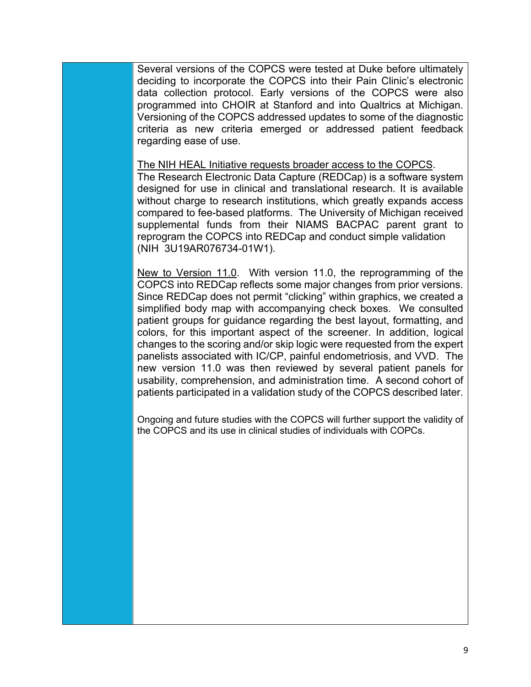Several versions of the COPCS were tested at Duke before ultimately deciding to incorporate the COPCS into their Pain Clinic's electronic data collection protocol. Early versions of the COPCS were also programmed into CHOIR at Stanford and into Qualtrics at Michigan. Versioning of the COPCS addressed updates to some of the diagnostic criteria as new criteria emerged or addressed patient feedback regarding ease of use.

The NIH HEAL Initiative requests broader access to the COPCS. The Research Electronic Data Capture (REDCap) is a software system designed for use in clinical and translational research. It is available without charge to research institutions, which greatly expands access compared to fee-based platforms. The University of Michigan received supplemental funds from their NIAMS BACPAC parent grant to reprogram the COPCS into REDCap and conduct simple validation (NIH 3U19AR076734-01W1).

New to Version 11.0. With version 11.0, the reprogramming of the COPCS into REDCap reflects some major changes from prior versions. Since REDCap does not permit "clicking" within graphics, we created a simplified body map with accompanying check boxes. We consulted patient groups for guidance regarding the best layout, formatting, and colors, for this important aspect of the screener. In addition, logical changes to the scoring and/or skip logic were requested from the expert panelists associated with IC/CP, painful endometriosis, and VVD. The new version 11.0 was then reviewed by several patient panels for usability, comprehension, and administration time. A second cohort of patients participated in a validation study of the COPCS described later.

Ongoing and future studies with the COPCS will further support the validity of the COPCS and its use in clinical studies of individuals with COPCs.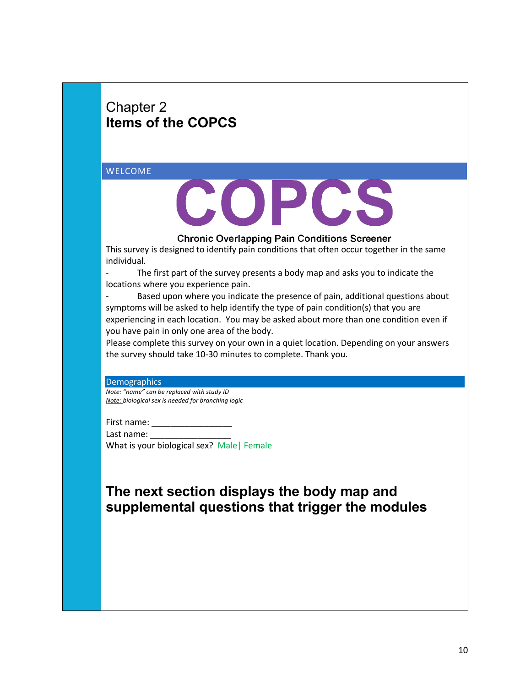# Chapter 2 **Items of the COPCS**

WELCOME



**Chronic Overlapping Pain Conditions Screener** 

This survey is designed to identify pain conditions that often occur together in the same individual.

The first part of the survey presents a body map and asks you to indicate the locations where you experience pain.

Based upon where you indicate the presence of pain, additional questions about symptoms will be asked to help identify the type of pain condition(s) that you are experiencing in each location. You may be asked about more than one condition even if you have pain in only one area of the body.

Please complete this survey on your own in a quiet location. Depending on your answers the survey should take 10-30 minutes to complete. Thank you.

Demographics

*Note: "name" can be replaced with study ID Note: biological sex is needed for branching logic*

First name:

Last name: \_\_\_\_\_\_\_\_\_\_\_\_\_\_\_\_\_

What is your biological sex? Male| Female

# **The next section displays the body map and supplemental questions that trigger the modules**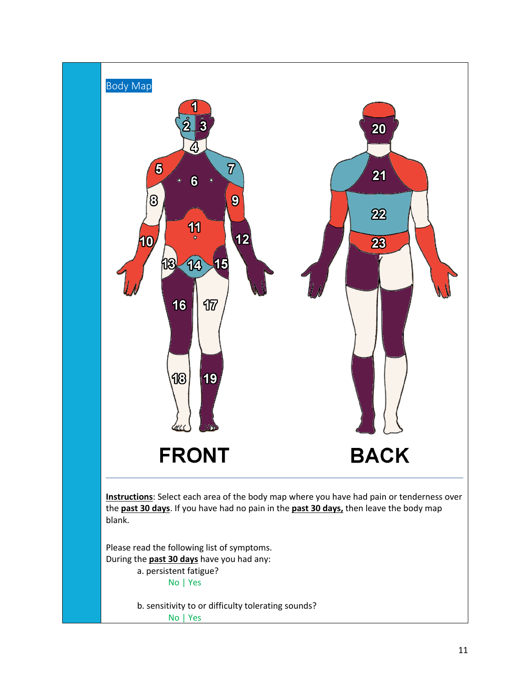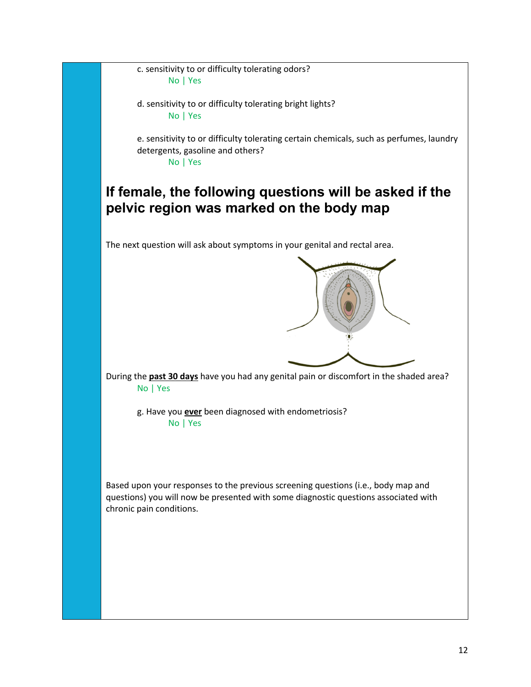c. sensitivity to or difficulty tolerating odors? No | Yes

d. sensitivity to or difficulty tolerating bright lights? No | Yes

e. sensitivity to or difficulty tolerating certain chemicals, such as perfumes, laundry detergents, gasoline and others? No | Yes

# **If female, the following questions will be asked if the pelvic region was marked on the body map**

The next question will ask about symptoms in your genital and rectal area.



During the **past 30 days** have you had any genital pain or discomfort in the shaded area? No | Yes

g. Have you **ever** been diagnosed with endometriosis? No | Yes

Based upon your responses to the previous screening questions (i.e., body map and questions) you will now be presented with some diagnostic questions associated with chronic pain conditions.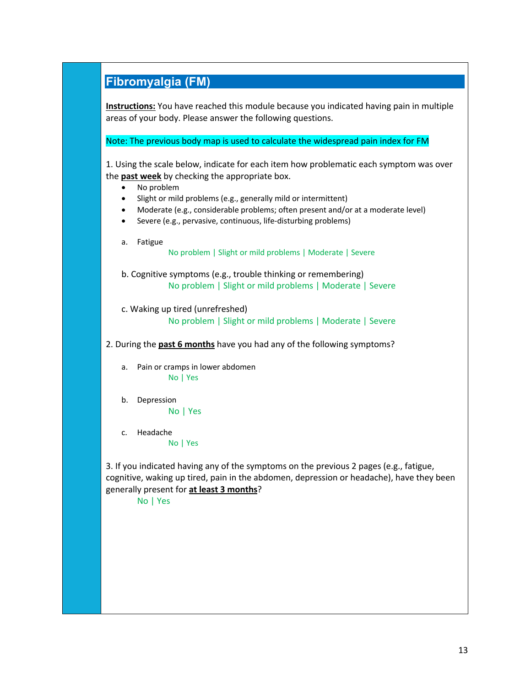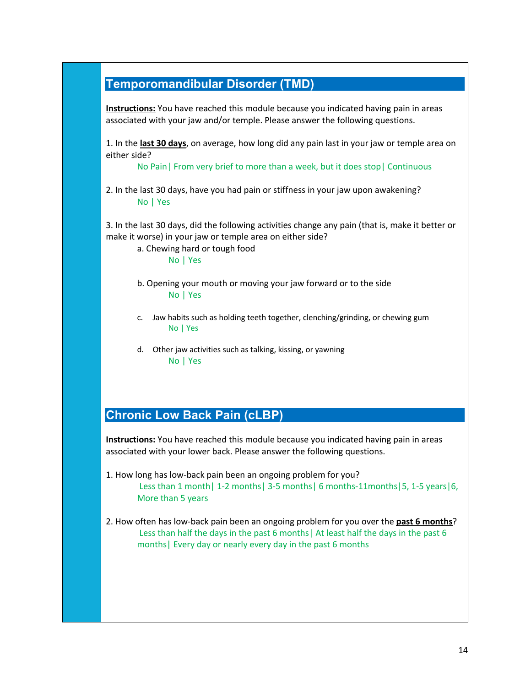## **Temporomandibular Disorder (TMD)**

**Instructions:** You have reached this module because you indicated having pain in areas associated with your jaw and/or temple. Please answer the following questions.

1. In the **last 30 days**, on average, how long did any pain last in your jaw or temple area on either side?

No Pain| From very brief to more than a week, but it does stop| Continuous

2. In the last 30 days, have you had pain or stiffness in your jaw upon awakening? No | Yes

3. In the last 30 days, did the following activities change any pain (that is, make it better or make it worse) in your jaw or temple area on either side?

a. Chewing hard or tough food No | Yes

- b. Opening your mouth or moving your jaw forward or to the side No | Yes
- c. Jaw habits such as holding teeth together, clenching/grinding, or chewing gum No | Yes
- d. Other jaw activities such as talking, kissing, or yawning No | Yes

### **Chronic Low Back Pain (cLBP)**

**Instructions:** You have reached this module because you indicated having pain in areas associated with your lower back. Please answer the following questions.

- 1. How long has low-back pain been an ongoing problem for you? Less than 1 month| 1-2 months| 3-5 months| 6 months-11months| 5, 1-5 years| 6, More than 5 years
- 2. How often has low-back pain been an ongoing problem for you over the **past 6 months**? Less than half the days in the past 6 months| At least half the days in the past 6 months| Every day or nearly every day in the past 6 months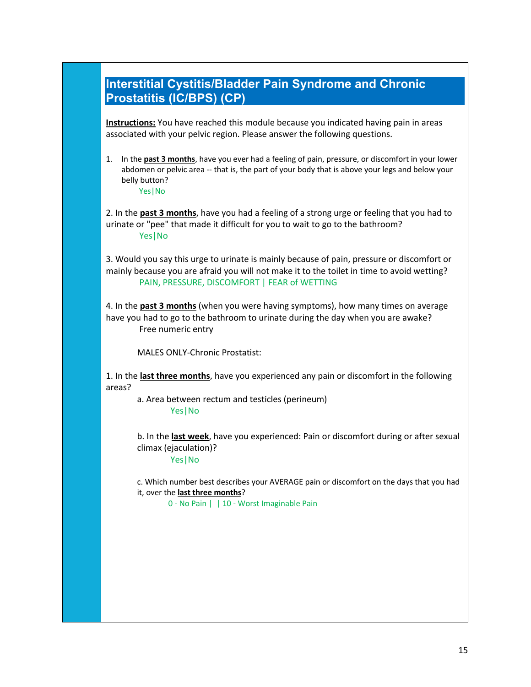### **Interstitial Cystitis/Bladder Pain Syndrome and Chronic Prostatitis (IC/BPS) (CP)**

**Instructions:** You have reached this module because you indicated having pain in areas associated with your pelvic region. Please answer the following questions.

1. In the **past 3 months**, have you ever had a feeling of pain, pressure, or discomfort in your lower abdomen or pelvic area -- that is, the part of your body that is above your legs and below your belly button? Yes|No

2. In the **past 3 months**, have you had a feeling of a strong urge or feeling that you had to urinate or "pee" that made it difficult for you to wait to go to the bathroom? Yes|No

3. Would you say this urge to urinate is mainly because of pain, pressure or discomfort or mainly because you are afraid you will not make it to the toilet in time to avoid wetting? PAIN, PRESSURE, DISCOMFORT | FEAR of WETTING

4. In the **past 3 months** (when you were having symptoms), how many times on average have you had to go to the bathroom to urinate during the day when you are awake? Free numeric entry

MALES ONLY-Chronic Prostatist:

1. In the **last three months**, have you experienced any pain or discomfort in the following areas?

a. Area between rectum and testicles (perineum) Yes|No

b. In the **last week**, have you experienced: Pain or discomfort during or after sexual climax (ejaculation)?

Yes|No

c. Which number best describes your AVERAGE pain or discomfort on the days that you had it, over the **last three months**?

0 - No Pain | | 10 - Worst Imaginable Pain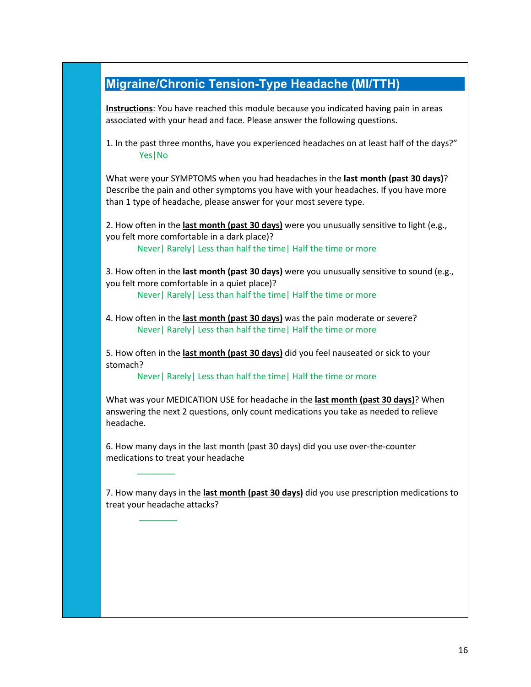## **Migraine/Chronic Tension-Type Headache (MI/TTH)**

**Instructions**: You have reached this module because you indicated having pain in areas associated with your head and face. Please answer the following questions.

1. In the past three months, have you experienced headaches on at least half of the days?" Yes|No

What were your SYMPTOMS when you had headaches in the **last month (past 30 days)**? Describe the pain and other symptoms you have with your headaches. If you have more than 1 type of headache, please answer for your most severe type.

2. How often in the **last month (past 30 days)** were you unusually sensitive to light (e.g., you felt more comfortable in a dark place)?

Never| Rarely| Less than half the time| Half the time or more

3. How often in the **last month (past 30 days)** were you unusually sensitive to sound (e.g., you felt more comfortable in a quiet place)? Never| Rarely| Less than half the time| Half the time or more

4. How often in the **last month (past 30 days)** was the pain moderate or severe? Never| Rarely| Less than half the time| Half the time or more

5. How often in the **last month (past 30 days)** did you feel nauseated or sick to your stomach?

Never| Rarely| Less than half the time| Half the time or more

What was your MEDICATION USE for headache in the **last month (past 30 days)**? When answering the next 2 questions, only count medications you take as needed to relieve headache.

6. How many days in the last month (past 30 days) did you use over-the-counter medications to treat your headache

 $\overline{\phantom{a}}$ 

 $\overline{\phantom{a}}$ 

7. How many days in the **last month (past 30 days)** did you use prescription medications to treat your headache attacks?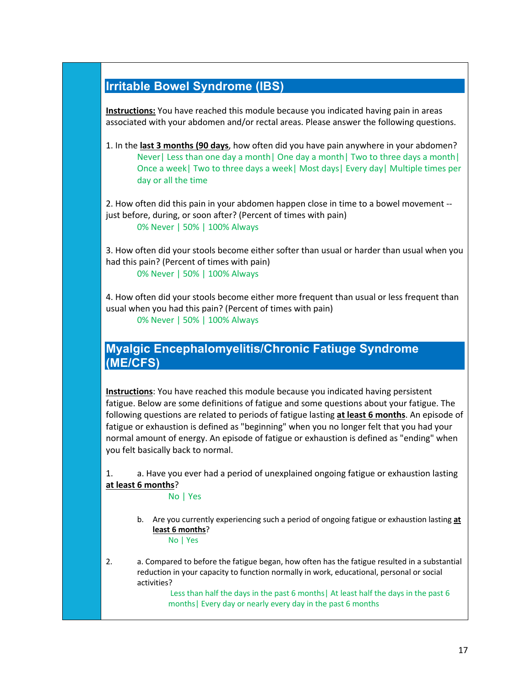## **Irritable Bowel Syndrome (IBS)**

**Instructions:** You have reached this module because you indicated having pain in areas associated with your abdomen and/or rectal areas. Please answer the following questions.

1. In the **last 3 months (90 days**, how often did you have pain anywhere in your abdomen? Never| Less than one day a month| One day a month| Two to three days a month| Once a week| Two to three days a week| Most days| Every day| Multiple times per day or all the time

2. How often did this pain in your abdomen happen close in time to a bowel movement - just before, during, or soon after? (Percent of times with pain) 0% Never | 50% | 100% Always

3. How often did your stools become either softer than usual or harder than usual when you had this pain? (Percent of times with pain) 0% Never | 50% | 100% Always

4. How often did your stools become either more frequent than usual or less frequent than usual when you had this pain? (Percent of times with pain) 0% Never | 50% | 100% Always

### **Myalgic Encephalomyelitis/Chronic Fatiuge Syndrome (ME/CFS)**

**Instructions**: You have reached this module because you indicated having persistent fatigue. Below are some definitions of fatigue and some questions about your fatigue. The following questions are related to periods of fatigue lasting **at least 6 months**. An episode of fatigue or exhaustion is defined as "beginning" when you no longer felt that you had your normal amount of energy. An episode of fatigue or exhaustion is defined as "ending" when you felt basically back to normal.

1. a. Have you ever had a period of unexplained ongoing fatigue or exhaustion lasting **at least 6 months**?

No | Yes

- b. Are you currently experiencing such a period of ongoing fatigue or exhaustion lasting **at least 6 months**? No | Yes
- 2. a. Compared to before the fatigue began, how often has the fatigue resulted in a substantial reduction in your capacity to function normally in work, educational, personal or social activities?

Less than half the days in the past 6 months| At least half the days in the past 6 months| Every day or nearly every day in the past 6 months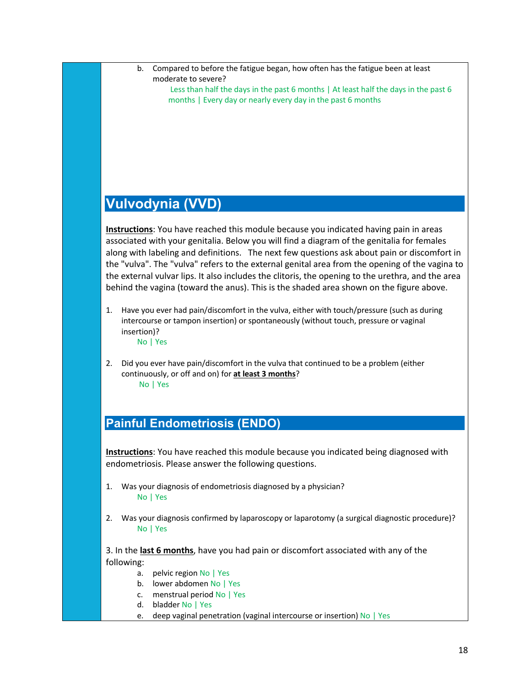- b. Compared to before the fatigue began, how often has the fatigue been at least moderate to severe? Less than half the days in the past 6 months | At least half the days in the past 6
	- months | Every day or nearly every day in the past 6 months

## **Vulvodynia (VVD)**

**Instructions**: You have reached this module because you indicated having pain in areas associated with your genitalia. Below you will find a diagram of the genitalia for females along with labeling and definitions. The next few questions ask about pain or discomfort in the "vulva". The "vulva" refers to the external genital area from the opening of the vagina to the external vulvar lips. It also includes the clitoris, the opening to the urethra, and the area behind the vagina (toward the anus). This is the shaded area shown on the figure above.

- 1. Have you ever had pain/discomfort in the vulva, either with touch/pressure (such as during intercourse or tampon insertion) or spontaneously (without touch, pressure or vaginal insertion)? No | Yes
- 2. Did you ever have pain/discomfort in the vulva that continued to be a problem (either continuously, or off and on) for **at least 3 months**? No | Yes

## **Painful Endometriosis (ENDO)**

**Instructions**: You have reached this module because you indicated being diagnosed with endometriosis. Please answer the following questions.

- 1. Was your diagnosis of endometriosis diagnosed by a physician? No | Yes
- 2. Was your diagnosis confirmed by laparoscopy or laparotomy (a surgical diagnostic procedure)? No | Yes

3. In the **last 6 months**, have you had pain or discomfort associated with any of the following:

- a. pelvic region No | Yes
- b. lower abdomen No | Yes
- c. menstrual period No | Yes
- d. bladder No | Yes
- e. deep vaginal penetration (vaginal intercourse or insertion) No | Yes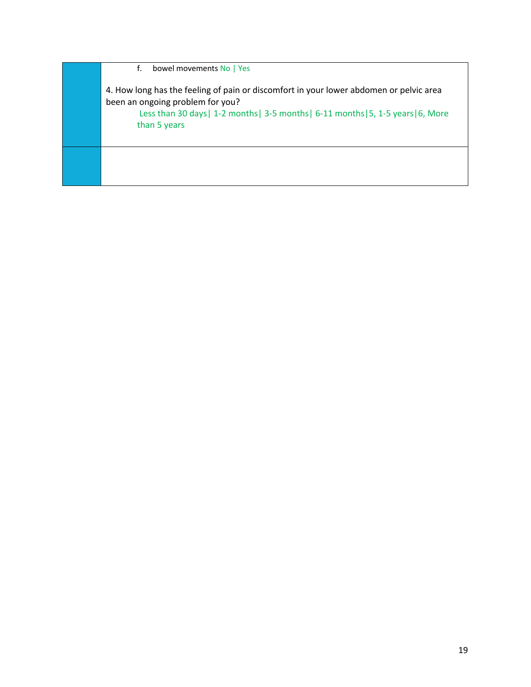f. bowel movements No | Yes 4. How long has the feeling of pain or discomfort in your lower abdomen or pelvic area been an ongoing problem for you? Less than 30 days| 1-2 months| 3-5 months| 6-11 months|5, 1-5 years|6, More than 5 years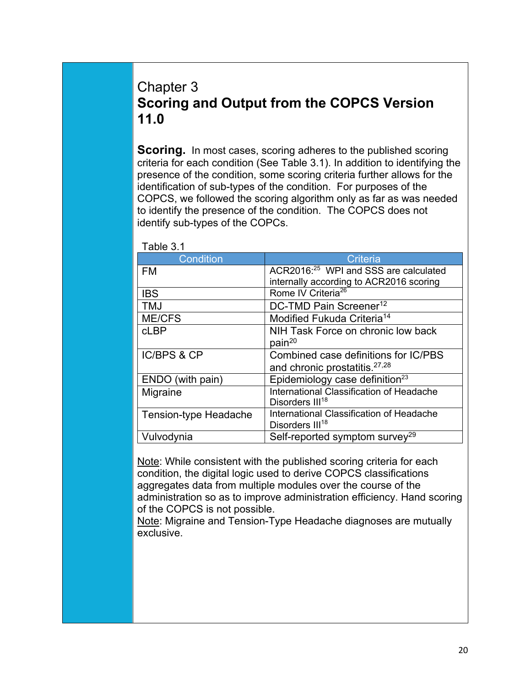# Chapter 3 **Scoring and Output from the COPCS Version 11.0**

**Scoring.** In most cases, scoring adheres to the published scoring criteria for each condition (See Table 3.1). In addition to identifying the presence of the condition, some scoring criteria further allows for the identification of sub-types of the condition. For purposes of the COPCS, we followed the scoring algorithm only as far as was needed to identify the presence of the condition. The COPCS does not identify sub-types of the COPCs.

| Condition             | Criteria                                          |
|-----------------------|---------------------------------------------------|
| <b>FM</b>             | ACR2016: <sup>25</sup> WPI and SSS are calculated |
|                       | internally according to ACR2016 scoring           |
| <b>IBS</b>            | Rome IV Criteria <sup>26</sup>                    |
| <b>TMJ</b>            | DC-TMD Pain Screener <sup>12</sup>                |
| <b>ME/CFS</b>         | Modified Fukuda Criteria <sup>14</sup>            |
| cLBP                  | NIH Task Force on chronic low back                |
|                       | pain <sup>20</sup>                                |
| IC/BPS & CP           | Combined case definitions for IC/PBS              |
|                       | and chronic prostatitis. <sup>27,28</sup>         |
| ENDO (with pain)      | Epidemiology case definition <sup>23</sup>        |
| Migraine              | International Classification of Headache          |
|                       | Disorders III <sup>18</sup>                       |
| Tension-type Headache | International Classification of Headache          |
|                       | Disorders III <sup>18</sup>                       |
| Vulvodynia            | Self-reported symptom survey <sup>29</sup>        |

Table 3.1

Note: While consistent with the published scoring criteria for each condition, the digital logic used to derive COPCS classifications aggregates data from multiple modules over the course of the administration so as to improve administration efficiency. Hand scoring of the COPCS is not possible.

Note: Migraine and Tension-Type Headache diagnoses are mutually exclusive.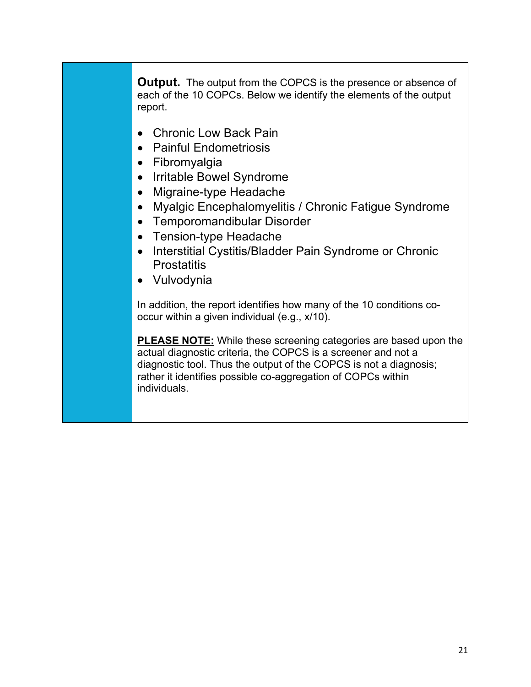**Output.** The output from the COPCS is the presence or absence of each of the 10 COPCs. Below we identify the elements of the output report.

- Chronic Low Back Pain
- Painful Endometriosis
- Fibromyalgia
- Irritable Bowel Syndrome
- Migraine-type Headache
- Myalgic Encephalomyelitis / Chronic Fatigue Syndrome
- Temporomandibular Disorder
- Tension-type Headache
- Interstitial Cystitis/Bladder Pain Syndrome or Chronic **Prostatitis**
- Vulvodynia

In addition, the report identifies how many of the 10 conditions cooccur within a given individual (e.g., x/10).

**PLEASE NOTE:** While these screening categories are based upon the actual diagnostic criteria, the COPCS is a screener and not a diagnostic tool. Thus the output of the COPCS is not a diagnosis; rather it identifies possible co-aggregation of COPCs within individuals.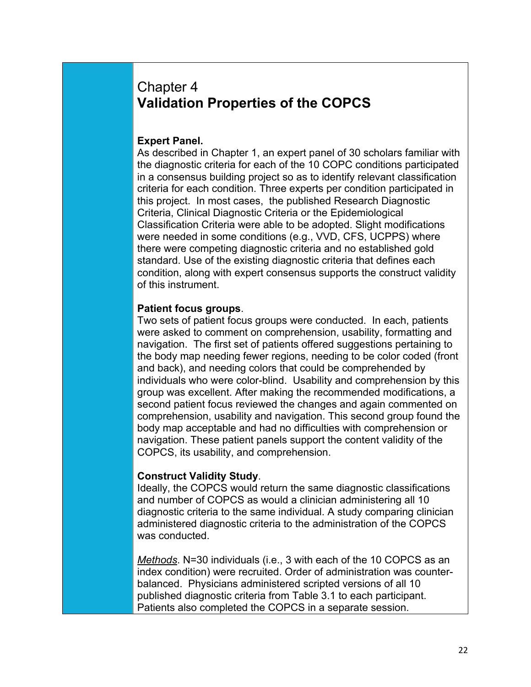# Chapter 4 **Validation Properties of the COPCS**

#### **Expert Panel.**

As described in Chapter 1, an expert panel of 30 scholars familiar with the diagnostic criteria for each of the 10 COPC conditions participated in a consensus building project so as to identify relevant classification criteria for each condition. Three experts per condition participated in this project. In most cases, the published Research Diagnostic Criteria, Clinical Diagnostic Criteria or the Epidemiological Classification Criteria were able to be adopted. Slight modifications were needed in some conditions (e.g., VVD, CFS, UCPPS) where there were competing diagnostic criteria and no established gold standard. Use of the existing diagnostic criteria that defines each condition, along with expert consensus supports the construct validity of this instrument.

#### **Patient focus groups**.

Two sets of patient focus groups were conducted. In each, patients were asked to comment on comprehension, usability, formatting and navigation. The first set of patients offered suggestions pertaining to the body map needing fewer regions, needing to be color coded (front and back), and needing colors that could be comprehended by individuals who were color-blind. Usability and comprehension by this group was excellent. After making the recommended modifications, a second patient focus reviewed the changes and again commented on comprehension, usability and navigation. This second group found the body map acceptable and had no difficulties with comprehension or navigation. These patient panels support the content validity of the COPCS, its usability, and comprehension.

#### **Construct Validity Study**.

Ideally, the COPCS would return the same diagnostic classifications and number of COPCS as would a clinician administering all 10 diagnostic criteria to the same individual. A study comparing clinician administered diagnostic criteria to the administration of the COPCS was conducted.

*Methods*. N=30 individuals (i.e., 3 with each of the 10 COPCS as an index condition) were recruited. Order of administration was counterbalanced. Physicians administered scripted versions of all 10 published diagnostic criteria from Table 3.1 to each participant. Patients also completed the COPCS in a separate session.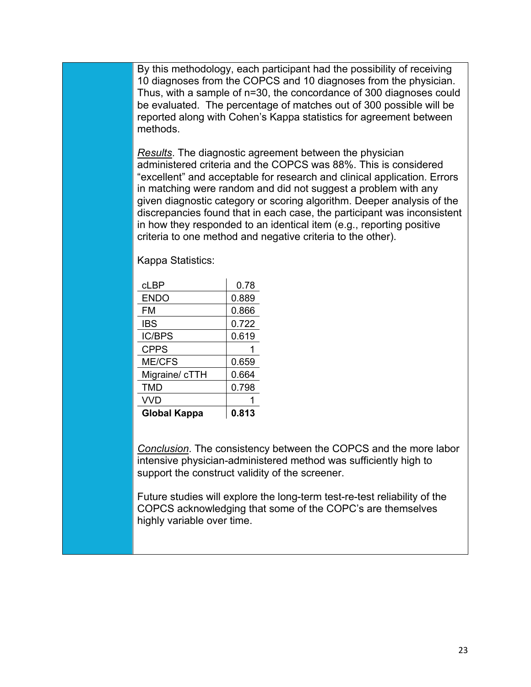By this methodology, each participant had the possibility of receiving 10 diagnoses from the COPCS and 10 diagnoses from the physician. Thus, with a sample of n=30, the concordance of 300 diagnoses could be evaluated. The percentage of matches out of 300 possible will be reported along with Cohen's Kappa statistics for agreement between methods.

*Results*. The diagnostic agreement between the physician administered criteria and the COPCS was 88%. This is considered "excellent" and acceptable for research and clinical application. Errors in matching were random and did not suggest a problem with any given diagnostic category or scoring algorithm. Deeper analysis of the discrepancies found that in each case, the participant was inconsistent in how they responded to an identical item (e.g., reporting positive criteria to one method and negative criteria to the other).

Kappa Statistics:

| cLBP                | 0.78  |
|---------------------|-------|
| <b>ENDO</b>         | 0.889 |
| FM                  | 0.866 |
| <b>IBS</b>          | 0.722 |
| <b>IC/BPS</b>       | 0.619 |
| <b>CPPS</b>         | 1     |
| <b>ME/CFS</b>       | 0.659 |
| Migraine/ cTTH      | 0.664 |
| TMD                 | 0.798 |
| <b>VVD</b>          |       |
| <b>Global Kappa</b> | 0.813 |

*Conclusion*. The consistency between the COPCS and the more labor intensive physician-administered method was sufficiently high to support the construct validity of the screener.

Future studies will explore the long-term test-re-test reliability of the COPCS acknowledging that some of the COPC's are themselves highly variable over time.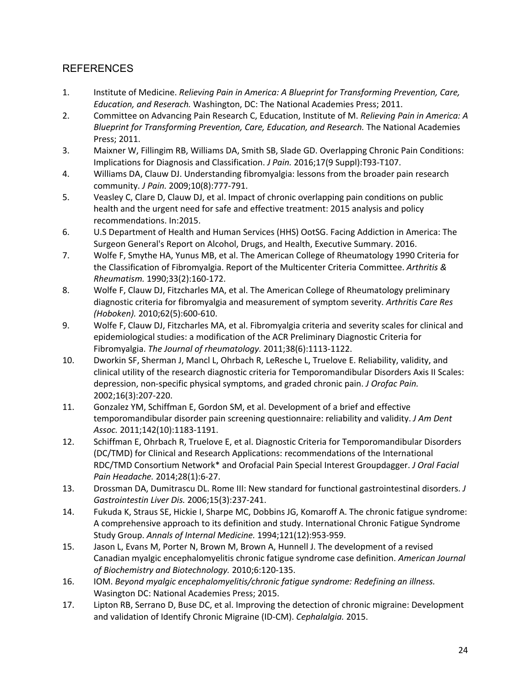#### REFERENCES

- 1. Institute of Medicine. *Relieving Pain in America: A Blueprint for Transforming Prevention, Care, Education, and Reserach.* Washington, DC: The National Academies Press; 2011.
- 2. Committee on Advancing Pain Research C, Education, Institute of M. *Relieving Pain in America: A Blueprint for Transforming Prevention, Care, Education, and Research.* The National Academies Press; 2011.
- 3. Maixner W, Fillingim RB, Williams DA, Smith SB, Slade GD. Overlapping Chronic Pain Conditions: Implications for Diagnosis and Classification. *J Pain.* 2016;17(9 Suppl):T93-T107.
- 4. Williams DA, Clauw DJ. Understanding fibromyalgia: lessons from the broader pain research community. *J Pain.* 2009;10(8):777-791.
- 5. Veasley C, Clare D, Clauw DJ, et al. Impact of chronic overlapping pain conditions on public health and the urgent need for safe and effective treatment: 2015 analysis and policy recommendations. In:2015.
- 6. U.S Department of Health and Human Services (HHS) OotSG. Facing Addiction in America: The Surgeon General's Report on Alcohol, Drugs, and Health, Executive Summary. 2016.
- 7. Wolfe F, Smythe HA, Yunus MB, et al. The American College of Rheumatology 1990 Criteria for the Classification of Fibromyalgia. Report of the Multicenter Criteria Committee. *Arthritis & Rheumatism.* 1990;33(2):160-172.
- 8. Wolfe F, Clauw DJ, Fitzcharles MA, et al. The American College of Rheumatology preliminary diagnostic criteria for fibromyalgia and measurement of symptom severity. *Arthritis Care Res (Hoboken).* 2010;62(5):600-610.
- 9. Wolfe F, Clauw DJ, Fitzcharles MA, et al. Fibromyalgia criteria and severity scales for clinical and epidemiological studies: a modification of the ACR Preliminary Diagnostic Criteria for Fibromyalgia. *The Journal of rheumatology.* 2011;38(6):1113-1122.
- 10. Dworkin SF, Sherman J, Mancl L, Ohrbach R, LeResche L, Truelove E. Reliability, validity, and clinical utility of the research diagnostic criteria for Temporomandibular Disorders Axis II Scales: depression, non-specific physical symptoms, and graded chronic pain. *J Orofac Pain.*  2002;16(3):207-220.
- 11. Gonzalez YM, Schiffman E, Gordon SM, et al. Development of a brief and effective temporomandibular disorder pain screening questionnaire: reliability and validity. *J Am Dent Assoc.* 2011;142(10):1183-1191.
- 12. Schiffman E, Ohrbach R, Truelove E, et al. Diagnostic Criteria for Temporomandibular Disorders (DC/TMD) for Clinical and Research Applications: recommendations of the International RDC/TMD Consortium Network\* and Orofacial Pain Special Interest Groupdagger. *J Oral Facial Pain Headache.* 2014;28(1):6-27.
- 13. Drossman DA, Dumitrascu DL. Rome III: New standard for functional gastrointestinal disorders. *J Gastrointestin Liver Dis.* 2006;15(3):237-241.
- 14. Fukuda K, Straus SE, Hickie I, Sharpe MC, Dobbins JG, Komaroff A. The chronic fatigue syndrome: A comprehensive approach to its definition and study. International Chronic Fatigue Syndrome Study Group. *Annals of Internal Medicine.* 1994;121(12):953-959.
- 15. Jason L, Evans M, Porter N, Brown M, Brown A, Hunnell J. The development of a revised Canadian myalgic encephalomyelitis chronic fatigue syndrome case definition. *American Journal of Biochemistry and Biotechnology.* 2010;6:120-135.
- 16. IOM. *Beyond myalgic encephalomyelitis/chronic fatigue syndrome: Redefining an illness.* Wasington DC: National Academies Press; 2015.
- 17. Lipton RB, Serrano D, Buse DC, et al. Improving the detection of chronic migraine: Development and validation of Identify Chronic Migraine (ID-CM). *Cephalalgia.* 2015.